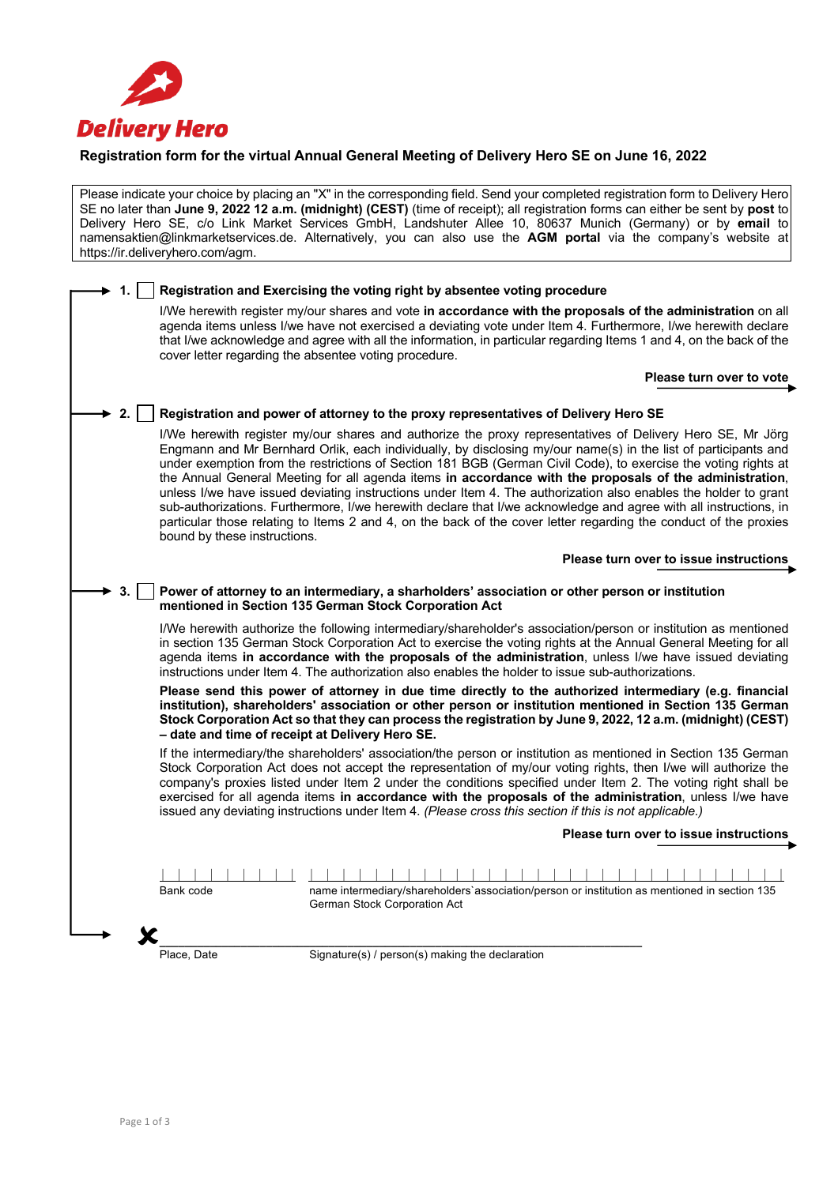

## **Registration form for the virtual Annual General Meeting of Delivery Hero SE on June 16, 2022**

Please indicate your choice by placing an "X" in the corresponding field. Send your completed registration form to Delivery Hero SE no later than **June 9, 2022 12 a.m. (midnight) (CEST)** (time of receipt); all registration forms can either be sent by **post** to Delivery Hero SE, c/o Link Market Services GmbH, Landshuter Allee 10, 80637 Munich (Germany) or by **email** to namensaktien@linkmarketservices.de. Alternatively, you can also use the **AGM portal** via the company's website at https://ir.deliveryhero.com/agm.

|    |                                                 | Registration and Exercising the voting right by absentee voting procedure                                                                                                                                                                                                                                                                                                                                                                                                                                                                                                                                                                                                                                                                                                                                           |
|----|-------------------------------------------------|---------------------------------------------------------------------------------------------------------------------------------------------------------------------------------------------------------------------------------------------------------------------------------------------------------------------------------------------------------------------------------------------------------------------------------------------------------------------------------------------------------------------------------------------------------------------------------------------------------------------------------------------------------------------------------------------------------------------------------------------------------------------------------------------------------------------|
|    |                                                 | I/We herewith register my/our shares and vote in accordance with the proposals of the administration on all<br>agenda items unless I/we have not exercised a deviating vote under Item 4. Furthermore, I/we herewith declare<br>that I/we acknowledge and agree with all the information, in particular regarding Items 1 and 4, on the back of the<br>cover letter regarding the absentee voting procedure.                                                                                                                                                                                                                                                                                                                                                                                                        |
|    |                                                 | Please turn over to vote                                                                                                                                                                                                                                                                                                                                                                                                                                                                                                                                                                                                                                                                                                                                                                                            |
|    |                                                 |                                                                                                                                                                                                                                                                                                                                                                                                                                                                                                                                                                                                                                                                                                                                                                                                                     |
| 2. |                                                 | Registration and power of attorney to the proxy representatives of Delivery Hero SE                                                                                                                                                                                                                                                                                                                                                                                                                                                                                                                                                                                                                                                                                                                                 |
|    | bound by these instructions.                    | I/We herewith register my/our shares and authorize the proxy representatives of Delivery Hero SE, Mr Jörg<br>Engmann and Mr Bernhard Orlik, each individually, by disclosing my/our name(s) in the list of participants and<br>under exemption from the restrictions of Section 181 BGB (German Civil Code), to exercise the voting rights at<br>the Annual General Meeting for all agenda items in accordance with the proposals of the administration,<br>unless I/we have issued deviating instructions under Item 4. The authorization also enables the holder to grant<br>sub-authorizations. Furthermore, I/we herewith declare that I/we acknowledge and agree with all instructions, in<br>particular those relating to Items 2 and 4, on the back of the cover letter regarding the conduct of the proxies |
|    |                                                 | Please turn over to issue instructions                                                                                                                                                                                                                                                                                                                                                                                                                                                                                                                                                                                                                                                                                                                                                                              |
|    |                                                 |                                                                                                                                                                                                                                                                                                                                                                                                                                                                                                                                                                                                                                                                                                                                                                                                                     |
| 3. |                                                 | Power of attorney to an intermediary, a sharholders' association or other person or institution<br>mentioned in Section 135 German Stock Corporation Act                                                                                                                                                                                                                                                                                                                                                                                                                                                                                                                                                                                                                                                            |
|    |                                                 | I/We herewith authorize the following intermediary/shareholder's association/person or institution as mentioned<br>in section 135 German Stock Corporation Act to exercise the voting rights at the Annual General Meeting for all<br>agenda items in accordance with the proposals of the administration, unless I/we have issued deviating<br>instructions under Item 4. The authorization also enables the holder to issue sub-authorizations.                                                                                                                                                                                                                                                                                                                                                                   |
|    | - date and time of receipt at Delivery Hero SE. | Please send this power of attorney in due time directly to the authorized intermediary (e.g. financial<br>institution), shareholders' association or other person or institution mentioned in Section 135 German<br>Stock Corporation Act so that they can process the registration by June 9, 2022, 12 a.m. (midnight) (CEST)                                                                                                                                                                                                                                                                                                                                                                                                                                                                                      |
|    |                                                 | If the intermediary/the shareholders' association/the person or institution as mentioned in Section 135 German<br>Stock Corporation Act does not accept the representation of my/our voting rights, then I/we will authorize the<br>company's proxies listed under Item 2 under the conditions specified under Item 2. The voting right shall be<br>exercised for all agenda items in accordance with the proposals of the administration, unless I/we have<br>issued any deviating instructions under Item 4. (Please cross this section if this is not applicable.)                                                                                                                                                                                                                                               |
|    |                                                 | Please turn over to issue instructions                                                                                                                                                                                                                                                                                                                                                                                                                                                                                                                                                                                                                                                                                                                                                                              |
|    |                                                 |                                                                                                                                                                                                                                                                                                                                                                                                                                                                                                                                                                                                                                                                                                                                                                                                                     |
|    | Bank code                                       | name intermediary/shareholders`association/person or institution as mentioned in section 135<br>German Stock Corporation Act                                                                                                                                                                                                                                                                                                                                                                                                                                                                                                                                                                                                                                                                                        |
|    |                                                 |                                                                                                                                                                                                                                                                                                                                                                                                                                                                                                                                                                                                                                                                                                                                                                                                                     |
|    | Place, Date                                     | Signature(s) / person(s) making the declaration                                                                                                                                                                                                                                                                                                                                                                                                                                                                                                                                                                                                                                                                                                                                                                     |
|    |                                                 |                                                                                                                                                                                                                                                                                                                                                                                                                                                                                                                                                                                                                                                                                                                                                                                                                     |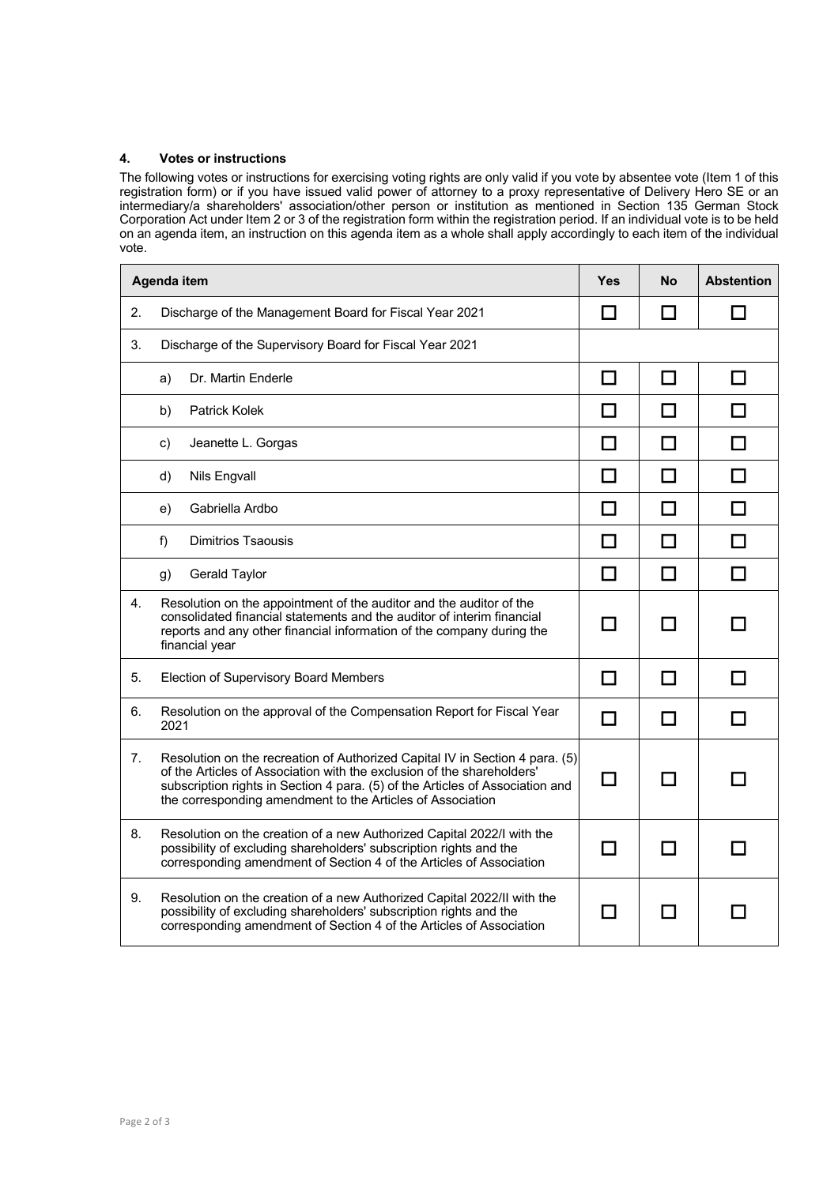## **4. Votes or instructions**

The following votes or instructions for exercising voting rights are only valid if you vote by absentee vote (Item 1 of this registration form) or if you have issued valid power of attorney to a proxy representative of Delivery Hero SE or an intermediary/a shareholders' association/other person or institution as mentioned in Section 135 German Stock Corporation Act under Item 2 or 3 of the registration form within the registration period. If an individual vote is to be held on an agenda item, an instruction on this agenda item as a whole shall apply accordingly to each item of the individual vote.

| Agenda item |                                                                                                                                                                                                                                                                                                       | <b>Yes</b>                  | <b>No</b>    | <b>Abstention</b> |
|-------------|-------------------------------------------------------------------------------------------------------------------------------------------------------------------------------------------------------------------------------------------------------------------------------------------------------|-----------------------------|--------------|-------------------|
| 2.          | Discharge of the Management Board for Fiscal Year 2021                                                                                                                                                                                                                                                |                             | l l          |                   |
| 3.          | Discharge of the Supervisory Board for Fiscal Year 2021                                                                                                                                                                                                                                               |                             |              |                   |
|             | Dr. Martin Enderle<br>a)                                                                                                                                                                                                                                                                              | П                           | П            | ΙI                |
|             | <b>Patrick Kolek</b><br>b)                                                                                                                                                                                                                                                                            | $\mathcal{L}$               | <b>COL</b>   |                   |
|             | Jeanette L. Gorgas<br>c)                                                                                                                                                                                                                                                                              | $\mathcal{L}$               | $\mathbf{r}$ |                   |
|             | Nils Engvall<br>d)                                                                                                                                                                                                                                                                                    | $\Box$                      | ΙI           |                   |
|             | Gabriella Ardbo<br>e)                                                                                                                                                                                                                                                                                 | $\mathcal{L}_{\mathcal{A}}$ |              |                   |
|             | <b>Dimitrios Tsaousis</b><br>f)                                                                                                                                                                                                                                                                       | $\mathbf{I}$                |              |                   |
|             | Gerald Taylor<br>g)                                                                                                                                                                                                                                                                                   | $\Box$                      | П            |                   |
| 4.          | Resolution on the appointment of the auditor and the auditor of the<br>consolidated financial statements and the auditor of interim financial<br>reports and any other financial information of the company during the<br>financial year                                                              | $\blacksquare$              | ΙI           |                   |
| 5.          | Election of Supervisory Board Members                                                                                                                                                                                                                                                                 |                             |              |                   |
| 6.          | Resolution on the approval of the Compensation Report for Fiscal Year<br>2021                                                                                                                                                                                                                         | П                           | П            |                   |
| 7.          | Resolution on the recreation of Authorized Capital IV in Section 4 para. (5)<br>of the Articles of Association with the exclusion of the shareholders'<br>subscription rights in Section 4 para. (5) of the Articles of Association and<br>the corresponding amendment to the Articles of Association |                             | n.           |                   |
| 8.          | Resolution on the creation of a new Authorized Capital 2022/I with the<br>possibility of excluding shareholders' subscription rights and the<br>corresponding amendment of Section 4 of the Articles of Association                                                                                   |                             |              |                   |
| 9.          | Resolution on the creation of a new Authorized Capital 2022/II with the<br>possibility of excluding shareholders' subscription rights and the<br>corresponding amendment of Section 4 of the Articles of Association                                                                                  |                             |              |                   |